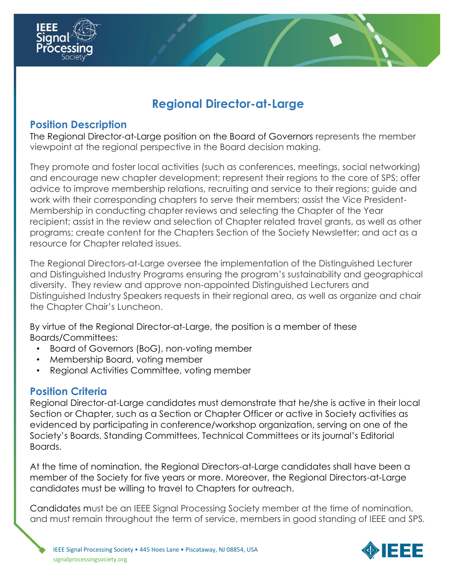

# **Regional Director-at-Large**

#### **Position Description**

The Regional Director-at-Large position on the Board of Governors represents the member viewpoint at the regional perspective in the Board decision making.

They promote and foster local activities (such as conferences, meetings, social networking) and encourage new chapter development; represent their regions to the core of SPS; offer advice to improve membership relations, recruiting and service to their regions; guide and work with their corresponding chapters to serve their members; assist the Vice President-Membership in conducting chapter reviews and selecting the Chapter of the Year recipient; assist in the review and selection of Chapter related travel grants, as well as other programs; create content for the Chapters Section of the Society Newsletter; and act as a resource for Chapter related issues.

The Regional Directors-at-Large oversee the implementation of the Distinguished Lecturer and Distinguished Industry Programs ensuring the program's sustainability and geographical diversity. They review and approve non-appointed Distinguished Lecturers and Distinguished Industry Speakers requests in their regional area, as well as organize and chair the Chapter Chair's Luncheon.

By virtue of the Regional Director-at-Large, the position is a member of these Boards/Committees:

- Board of Governors (BoG), non-voting member
- Membership Board, voting member
- Regional Activities Committee, voting member

## **Position Criteria**

Regional Director-at-Large candidates must demonstrate that he/she is active in their local Section or Chapter, such as a Section or Chapter Officer or active in Society activities as evidenced by participating in conference/workshop organization, serving on one of the Society's Boards, Standing Committees, Technical Committees or its journal's Editorial Boards.

At the time of nomination, the Regional Directors-at-Large candidates shall have been a member of the Society for five years or more. Moreover, the Regional Directors-at-Large candidates must be willing to travel to Chapters for outreach.

Candidates must be an IEEE Signal Processing Society member at the time of nomination, and must remain throughout the term of service, members in good standing of IEEE and SPS.

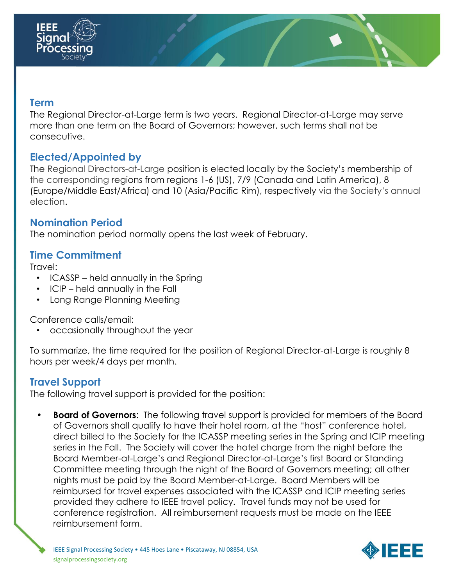

#### **Term**

The Regional Director-at-Large term is two years. Regional Director-at-Large may serve more than one term on the Board of Governors; however, such terms shall not be consecutive.

## **Elected/Appointed by**

The Regional Directors-at-Large position is elected locally by the Society's membership of the corresponding regions from regions 1-6 (US), 7/9 (Canada and Latin America), 8 (Europe/Middle East/Africa) and 10 (Asia/Pacific Rim), respectively via the Society's annual election.

#### **Nomination Period**

The nomination period normally opens the last week of February.

## **Time Commitment**

Travel:

- ICASSP held annually in the Spring
- ICIP held annually in the Fall
- Long Range Planning Meeting

Conference calls/email:

• occasionally throughout the year

To summarize, the time required for the position of Regional Director-at-Large is roughly 8 hours per week/4 days per month.

# **Travel Support**

The following travel support is provided for the position:

**Board of Governors:** The following travel support is provided for members of the Board of Governors shall qualify to have their hotel room, at the "host" conference hotel, direct billed to the Society for the ICASSP meeting series in the Spring and ICIP meeting series in the Fall. The Society will cover the hotel charge from the night before the Board Member-at-Large's and Regional Director-at-Large's first Board or Standing Committee meeting through the night of the Board of Governors meeting; all other nights must be paid by the Board Member-at-Large. Board Members will be reimbursed for travel expenses associated with the ICASSP and ICIP meeting series provided they adhere to IEEE travel policy. Travel funds may not be used for conference registration. All reimbursement requests must be made on the IEEE reimbursement form.